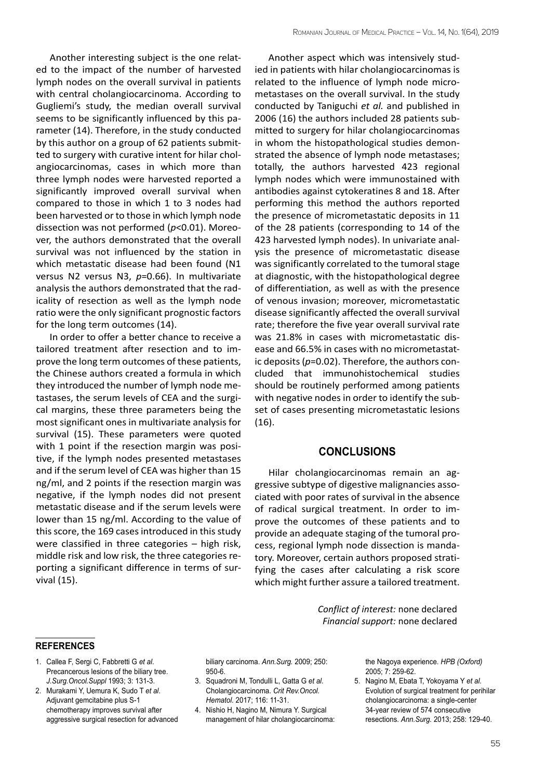Another interesting subject is the one related to the impact of the number of harvested lymph nodes on the overall survival in patients with central cholangiocarcinoma. According to Gugliemi's study, the median overall survival seems to be significantly influenced by this parameter (14). Therefore, in the study conducted by this author on a group of 62 patients submitted to surgery with curative intent for hilar cholangiocarcinomas, cases in which more than three lymph nodes were harvested reported a significantly improved overall survival when compared to those in which 1 to 3 nodes had been harvested or to those in which lymph node dissection was not performed (*p*<0.01). Moreover, the authors demonstrated that the overall survival was not influenced by the station in which metastatic disease had been found (N1 versus N2 versus N3, *p*=0.66). In multivariate analysis the authors demonstrated that the radicality of resection as well as the lymph node ratio were the only significant prognostic factors for the long term outcomes (14).

In order to offer a better chance to receive a tailored treatment after resection and to improve the long term outcomes of these patients, the Chinese authors created a formula in which they introduced the number of lymph node metastases, the serum levels of CEA and the surgical margins, these three parameters being the most significant ones in multivariate analysis for survival (15). These parameters were quoted with 1 point if the resection margin was positive, if the lymph nodes presented metastases and if the serum level of CEA was higher than 15 ng/ml, and 2 points if the resection margin was negative, if the lymph nodes did not present metastatic disease and if the serum levels were lower than 15 ng/ml. According to the value of this score, the 169 cases introduced in this study were classified in three categories – high risk, middle risk and low risk, the three categories reporting a significant difference in terms of survival (15).

Another aspect which was intensively studied in patients with hilar cholangiocarcinomas is related to the influence of lymph node micrometastases on the overall survival. In the study conducted by Taniguchi *et al.* and published in 2006 (16) the authors included 28 patients submitted to surgery for hilar cholangiocarcinomas in whom the histopathological studies demonstrated the absence of lymph node metastases; totally, the authors harvested 423 regional lymph nodes which were immunostained with antibodies against cytokeratines 8 and 18. After performing this method the authors reported the presence of micrometastatic deposits in 11 of the 28 patients (corresponding to 14 of the 423 harvested lymph nodes). In univariate analysis the presence of micrometastatic disease was significantly correlated to the tumoral stage at diagnostic, with the histopathological degree of differentiation, as well as with the presence of venous invasion; moreover, micrometastatic disease significantly affected the overall survival rate; therefore the five year overall survival rate was 21.8% in cases with micrometastatic disease and 66.5% in cases with no micrometastatic deposits (*p*=0.02). Therefore, the authors concluded that immunohistochemical studies should be routinely performed among patients with negative nodes in order to identify the subset of cases presenting micrometastatic lesions (16).

## **Conclusions**

Hilar cholangiocarcinomas remain an aggressive subtype of digestive malignancies associated with poor rates of survival in the absence of radical surgical treatment. In order to improve the outcomes of these patients and to provide an adequate staging of the tumoral process, regional lymph node dissection is mandatory. Moreover, certain authors proposed stratifying the cases after calculating a risk score which might further assure a tailored treatment.

> *Conflict of interest:* none declared *Financial support:* none declared

## **references**

- 1. Callea F, Sergi C, Fabbretti G *et al*. Precancerous lesions of the biliary tree. *J.Surg.Oncol.Suppl* 1993; 3: 131-3.
- 2. Murakami Y, Uemura K, Sudo T *et al*. Adjuvant gemcitabine plus S-1 chemotherapy improves survival after aggressive surgical resection for advanced

biliary carcinoma. *Ann.Surg.* 2009; 250: 950-6.

- 3. Squadroni M, Tondulli L, Gatta G *et al*. Cholangiocarcinoma. *Crit Rev.Oncol. Hematol.* 2017; 116: 11-31.
- 4. Nishio H, Nagino M, Nimura Y. Surgical management of hilar cholangiocarcinoma:

the Nagoya experience. *HPB (Oxford)* 2005; 7: 259-62.

5. Nagino M, Ebata T, Yokoyama Y *et al*. Evolution of surgical treatment for perihilar cholangiocarcinoma: a single-center 34-year review of 574 consecutive resections. *Ann.Surg.* 2013; 258: 129-40.